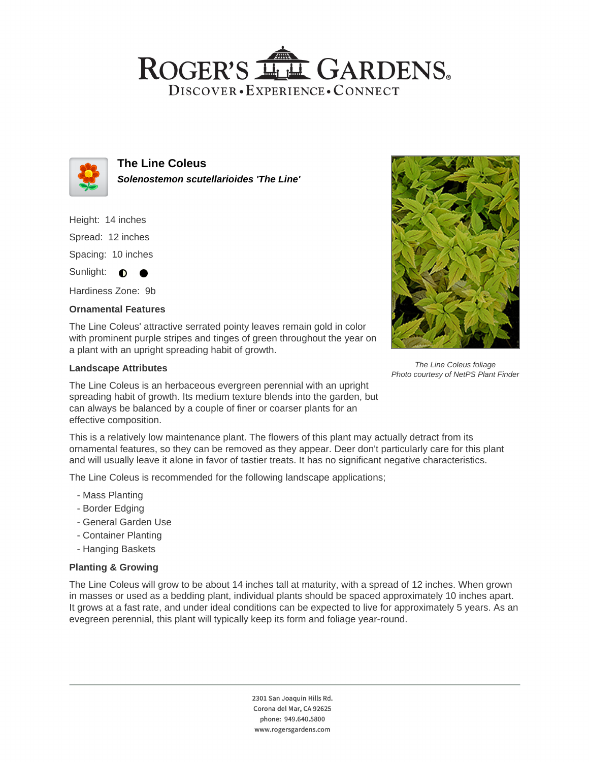## ROGER'S LL GARDENS. DISCOVER · EXPERIENCE · CONNECT



**The Line Coleus Solenostemon scutellarioides 'The Line'**

Height: 14 inches

Spread: 12 inches

Spacing: 10 inches

Sunlight: **O** 

Hardiness Zone: 9b

#### **Ornamental Features**

The Line Coleus' attractive serrated pointy leaves remain gold in color with prominent purple stripes and tinges of green throughout the year on a plant with an upright spreading habit of growth.

#### **Landscape Attributes**



The Line Coleus foliage Photo courtesy of NetPS Plant Finder

The Line Coleus is an herbaceous evergreen perennial with an upright spreading habit of growth. Its medium texture blends into the garden, but can always be balanced by a couple of finer or coarser plants for an effective composition.

This is a relatively low maintenance plant. The flowers of this plant may actually detract from its ornamental features, so they can be removed as they appear. Deer don't particularly care for this plant and will usually leave it alone in favor of tastier treats. It has no significant negative characteristics.

The Line Coleus is recommended for the following landscape applications;

- Mass Planting
- Border Edging
- General Garden Use
- Container Planting
- Hanging Baskets

### **Planting & Growing**

The Line Coleus will grow to be about 14 inches tall at maturity, with a spread of 12 inches. When grown in masses or used as a bedding plant, individual plants should be spaced approximately 10 inches apart. It grows at a fast rate, and under ideal conditions can be expected to live for approximately 5 years. As an evegreen perennial, this plant will typically keep its form and foliage year-round.

> 2301 San Joaquin Hills Rd. Corona del Mar, CA 92625 phone: 949.640.5800 www.rogersgardens.com